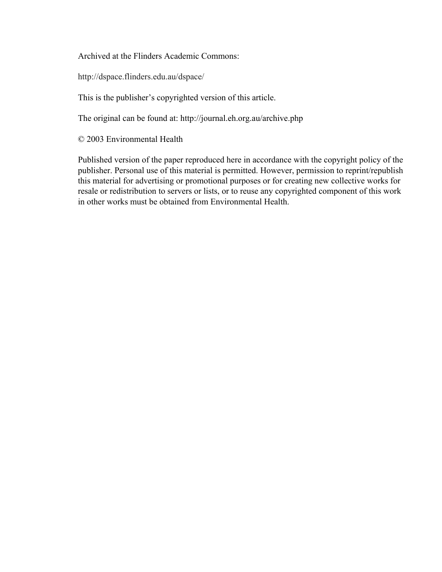Archived at the Flinders Academic Commons:

http://dspace.flinders.edu.au/dspace/

This is the publisher's copyrighted version of this article.

The original can be found at: http://journal.eh.org.au/archive.php

© 2003 Environmental Health

Published version of the paper reproduced here in accordance with the copyright policy of the publisher. Personal use of this material is permitted. However, permission to reprint/republish this material for advertising or promotional purposes or for creating new collective works for resale or redistribution to servers or lists, or to reuse any copyrighted component of this work in other works must be obtained from Environmental Health.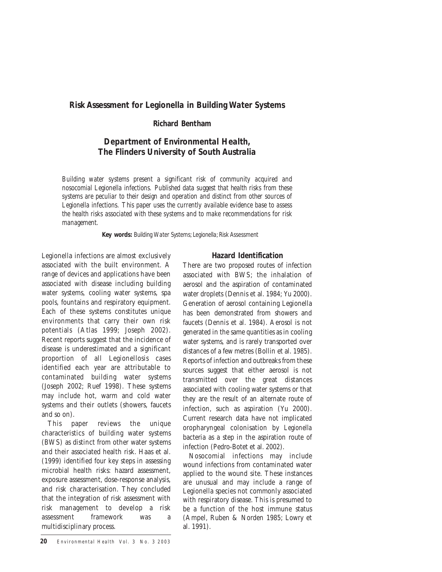# **Richard Bentham**

# *Department of Environmental Health, The Flinders University of South Australia*

*Building water systems present a significant risk of community acquired and nosocomial Legionella infections. Published data suggest that health risks from these systems are peculiar to their design and operation and distinct from other sources of Legionella infections. This paper uses the currently available evidence base to assess the health risks associated with these systems and to make recommendations for risk management.* 

**Key words:** *Building Water Systems; Legionella; Risk Assessment*

Legionella infections are almost exclusively associated with the built environment. A range of devices and applications have been associated with disease including building water systems, cooling water systems, spa pools, fountains and respiratory equipment. Each of these systems constitutes unique environments that carry their own risk potentials (Atlas 1999; Joseph 2002). Recent reports suggest that the incidence of disease is underestimated and a significant proportion of all Legionellosis cases identified each year are attributable to contaminated building water systems (Joseph 2002; Ruef 1998). These systems may include hot, warm and cold water systems and their outlets (showers, faucets and so on).

This paper reviews the unique characteristics of building water systems (BWS) as distinct from other water systems and their associated health risk. Haas et al. (1999) identified four key steps in assessing microbial health risks: hazard assessment, exposure assessment, dose-response analysis, and risk characterisation. They concluded that the integration of risk assessment with risk management to develop a risk assessment framework was a multidisciplinary process.

# **Hazard Identification**

There are two proposed routes of infection associated with BWS; the inhalation of aerosol and the aspiration of contaminated water droplets (Dennis et al. 1984; Yu 2000). Generation of aerosol containing Legionella has been demonstrated from showers and faucets (Dennis et al. 1984). Aerosol is not generated in the same quantities as in cooling water systems, and is rarely transported over distances of a few metres (Bollin et al. 1985). Reports of infection and outbreaks from these sources suggest that either aerosol is not transmitted over the great distances associated with cooling water systems or that they are the result of an alternate route of infection, such as aspiration (Yu 2000). Current research data have not implicated oropharyngeal colonisation by *Legionella* bacteria as a step in the aspiration route of infection (Pedro-Botet et al. 2002).

Nosocomial infections may include wound infections from contaminated water applied to the wound site. These instances are unusual and may include a range of Legionella species not commonly associated with respiratory disease. This is presumed to be a function of the host immune status (Ampel, Ruben & Norden 1985; Lowry et al. 1991).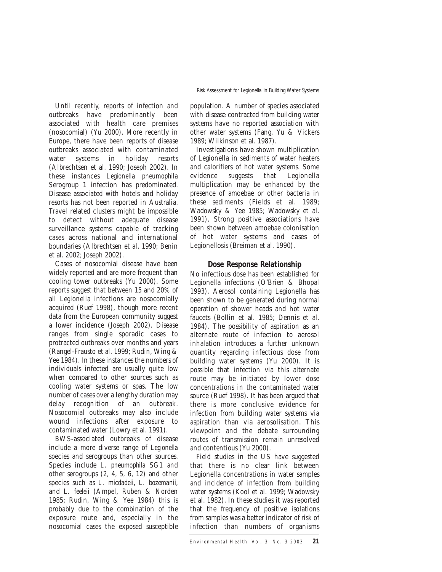Until recently, reports of infection and outbreaks have predominantly been associated with health care premises (nosocomial) (Yu 2000). More recently in Europe, there have been reports of disease outbreaks associated with contaminated water systems in holiday resorts (Albrechtsen et al. 1990; Joseph 2002). In these instances *Legionella pneumophila* Serogroup 1 infection has predominated. Disease associated with hotels and holiday resorts has not been reported in Australia. Travel related clusters might be impossible to detect without adequate disease surveillance systems capable of tracking cases across national and international boundaries (Albrechtsen et al. 1990; Benin et al. 2002; Joseph 2002).

Cases of nosocomial disease have been widely reported and are more frequent than cooling tower outbreaks (Yu 2000). Some reports suggest that between 15 and 20% of all Legionella infections are nosocomially acquired (Ruef 1998), though more recent data from the European community suggest a lower incidence (Joseph 2002). Disease ranges from single sporadic cases to protracted outbreaks over months and years (Rangel-Frausto et al. 1999; Rudin, Wing & Yee 1984). In these instances the numbers of individuals infected are usually quite low when compared to other sources such as cooling water systems or spas. The low number of cases over a lengthy duration may delay recognition of an outbreak. Nosocomial outbreaks may also include wound infections after exposure to contaminated water (Lowry et al. 1991).

BWS-associated outbreaks of disease include a more diverse range of *Legionella* species and serogroups than other sources. Species include *L. pneumophila* SG1 and other serogroups (2, 4, 5, 6, 12) and other species such as *L. micdadeii*, *L. bozemanii*, and *L. feeleii* (Ampel, Ruben & Norden 1985; Rudin, Wing & Yee 1984) this is probably due to the combination of the exposure route and, especially in the nosocomial cases the exposed susceptible

population. A number of species associated with disease contracted from building water systems have no reported association with other water systems (Fang, Yu & Vickers 1989; Wilkinson et al. 1987).

Investigations have shown multiplication of Legionella in sediments of water heaters and calorifiers of hot water systems. Some evidence suggests that Legionella multiplication may be enhanced by the presence of amoebae or other bacteria in these sediments (Fields et al. 1989; Wadowsky & Yee 1985; Wadowsky et al. 1991). Strong positive associations have been shown between amoebae colonisation of hot water systems and cases of Legionellosis (Breiman et al. 1990).

### **Dose Response Relationship**

No infectious dose has been established for Legionella infections (O'Brien & Bhopal 1993). Aerosol containing Legionella has been shown to be generated during normal operation of shower heads and hot water faucets (Bollin et al. 1985; Dennis et al. 1984). The possibility of aspiration as an alternate route of infection to aerosol inhalation introduces a further unknown quantity regarding infectious dose from building water systems (Yu 2000). It is possible that infection via this alternate route may be initiated by lower dose concentrations in the contaminated water source (Ruef 1998). It has been argued that there is more conclusive evidence for infection from building water systems via aspiration than via aerosolisation. This viewpoint and the debate surrounding routes of transmission remain unresolved and contentious (Yu 2000).

Field studies in the US have suggested that there is no clear link between Legionella concentrations in water samples and incidence of infection from building water systems (Kool et al. 1999; Wadowsky et al. 1982). In these studies it was reported that the frequency of positive isolations from samples was a better indicator of risk of infection than numbers of organisms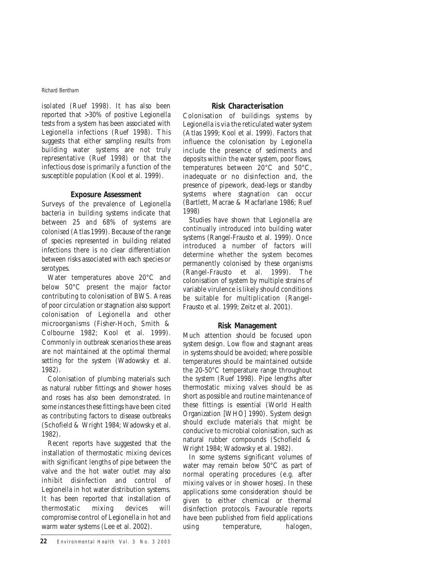isolated (Ruef 1998). It has also been reported that >30% of positive Legionella tests from a system has been associated with Legionella infections (Ruef 1998). This suggests that either sampling results from building water systems are not truly representative (Ruef 1998) or that the infectious dose is primarily a function of the susceptible population (Kool et al. 1999).

### **Exposure Assessment**

Surveys of the prevalence of Legionella bacteria in building systems indicate that between 25 and 68% of systems are colonised (Atlas 1999). Because of the range of species represented in building related infections there is no clear differentiation between risks associated with each species or serotypes.

Water temperatures above 20°C and below 50°C present the major factor contributing to colonisation of BWS. Areas of poor circulation or stagnation also support colonisation of Legionella and other microorganisms (Fisher-Hoch, Smith & Colbourne 1982; Kool et al. 1999). Commonly in outbreak scenarios these areas are not maintained at the optimal thermal setting for the system (Wadowsky et al. 1982).

Colonisation of plumbing materials such as natural rubber fittings and shower hoses and roses has also been demonstrated. In some instances these fittings have been cited as contributing factors to disease outbreaks (Schofield & Wright 1984; Wadowsky et al. 1982).

Recent reports have suggested that the installation of thermostatic mixing devices with significant lengths of pipe between the valve and the hot water outlet may also inhibit disinfection and control of Legionella in hot water distribution systems. It has been reported that installation of thermostatic mixing devices will compromise control of Legionella in hot and warm water systems (Lee et al. 2002).

# **Risk Characterisation**

Colonisation of buildings systems by Legionella is via the reticulated water system (Atlas 1999; Kool et al. 1999). Factors that influence the colonisation by Legionella include the presence of sediments and deposits within the water system, poor flows, temperatures between 20°C and 50°C, inadequate or no disinfection and, the presence of pipework, dead-legs or standby systems where stagnation can occur (Bartlett, Macrae & Macfarlane 1986; Ruef 1998)

Studies have shown that Legionella are continually introduced into building water systems (Rangel-Frausto et al. 1999). Once introduced a number of factors will determine whether the system becomes permanently colonised by these organisms (Rangel-Frausto et al. 1999). The colonisation of system by multiple strains of variable virulence is likely should conditions be suitable for multiplication (Rangel-Frausto et al. 1999; Zeitz et al. 2001).

# **Risk Management**

Much attention should be focused upon system design. Low flow and stagnant areas in systems should be avoided; where possible temperatures should be maintained outside the 20-50°C temperature range throughout the system (Ruef 1998). Pipe lengths after thermostatic mixing valves should be as short as possible and routine maintenance of these fittings is essential (World Health Organization [WHO] 1990). System design should exclude materials that might be conducive to microbial colonisation, such as natural rubber compounds (Schofield & Wright 1984; Wadowsky et al. 1982).

In some systems significant volumes of water may remain below 50°C as part of normal operating procedures (e.g. after mixing valves or in shower hoses). In these applications some consideration should be given to either chemical or thermal disinfection protocols. Favourable reports have been published from field applications using temperature, halogen,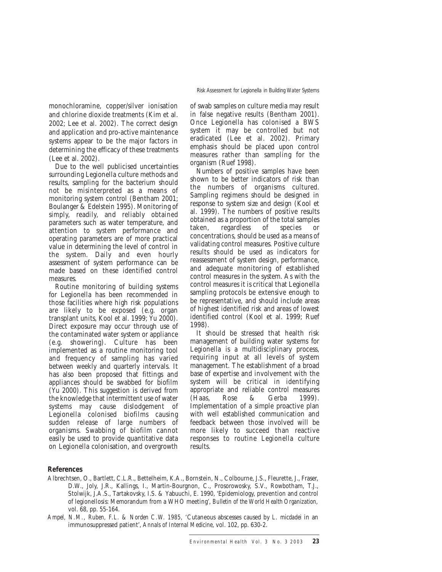monochloramine, copper/silver ionisation and chlorine dioxide treatments (Kim et al. 2002; Lee et al. 2002). The correct design and application and pro-active maintenance systems appear to be the major factors in determining the efficacy of these treatments (Lee et al. 2002).

Due to the well publicised uncertainties surrounding Legionella culture methods and results, sampling for the bacterium should not be misinterpreted as a means of monitoring system control (Bentham 2001; Boulanger & Edelstein 1995). Monitoring of simply, readily, and reliably obtained parameters such as water temperature, and attention to system performance and operating parameters are of more practical value in determining the level of control in the system. Daily and even hourly assessment of system performance can be made based on these identified control measures.

Routine monitoring of building systems for Legionella has been recommended in those facilities where high risk populations are likely to be exposed (e.g. organ transplant units, Kool et al. 1999; Yu 2000). Direct exposure may occur through use of the contaminated water system or appliance (e.g. showering). Culture has been implemented as a routine monitoring tool and frequency of sampling has varied between weekly and quarterly intervals. It has also been proposed that fittings and appliances should be swabbed for biofilm (Yu 2000). This suggestion is derived from the knowledge that intermittent use of water systems may cause dislodgement of Legionella colonised biofilms causing sudden release of large numbers of organisms. Swabbing of biofilm cannot easily be used to provide quantitative data on Legionella colonisation, and overgrowth of swab samples on culture media may result in false negative results (Bentham 2001). Once Legionella has colonised a BWS system it may be controlled but not eradicated (Lee et al. 2002). Primary emphasis should be placed upon control measures rather than sampling for the organism (Ruef 1998).

Numbers of positive samples have been shown to be better indicators of risk than the numbers of organisms cultured. Sampling regimens should be designed in response to system size and design (Kool et al. 1999). The numbers of positive results obtained as a proportion of the total samples<br>taken, regardless of species or regardless of species or concentrations, should be used as a means of validating control measures. Positive culture results should be used as indicators for reassessment of system design, performance, and adequate monitoring of established control measures in the system. As with the control measures it is critical that Legionella sampling protocols be extensive enough to be representative, and should include areas of highest identified risk and areas of lowest identified control (Kool et al. 1999; Ruef 1998).

It should be stressed that health risk management of building water systems for Legionella is a multidisciplinary process, requiring input at all levels of system management. The establishment of a broad base of expertise and involvement with the system will be critical in identifying appropriate and reliable control measures (Haas, Rose & Gerba 1999). Implementation of a simple proactive plan with well established communication and feedback between those involved will be more likely to succeed than reactive responses to routine Legionella culture results.

#### *References*

- Albrechtsen, O., Bartlett, C.L.R., Bettelheim, K.A., Bornstein, N., Colbourne, J.S., Fleurette, J., Fraser, D.W., Joly, J.R., Kallings, I., Martin-Bourgnon, C., Prosorowosky, S.V., Rowbotham, T.J., Stolwijk, J.A.S., Tartakovsky, I.S. & Yabuuchi, E. 1990, 'Epidemiology, prevention and control of legionellosis: Memorandum from a WHO meeting', *Bulletin of the World Health Organization,* vol. 68, pp. 55-164.
- *Ampel, N.M., Ruben, F.L. & Norden C.W. 1985, '*Cutaneous abscesses caused by *L. micdadei* in an immunosuppressed patient', *Annals of Internal Medicine*, vol. 102, pp. 630-2.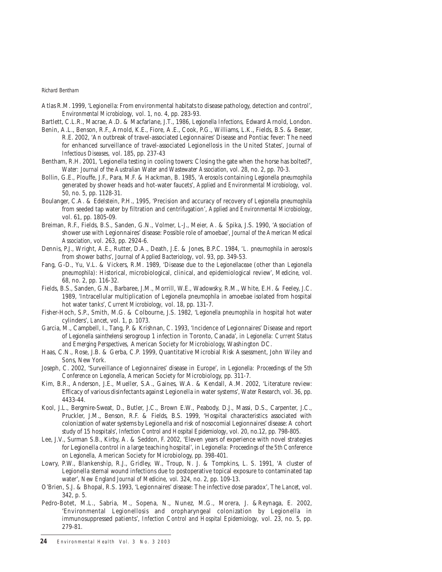- Atlas R.M. 1999, 'Legionella: From environmental habitats to disease pathology, detection and control', *Environmental Microbiology,* vol. 1, no. 4, pp. 283-93.
- Bartlett, C.L.R., Macrae, A.D. & Macfarlane, J.T., 1986, *Legionella Infections,* Edward Arnold, London.
- Benin, A.L., Benson, R.F., Arnold, K.E., Fiore, A.E., Cook, P.G., Williams, L.K., Fields, B.S. & Besser, R.E. 2002, 'An outbreak of travel-associated Legionnaires' Disease and Pontiac fever: The need for enhanced surveillance of travel-associated Legionellosis in the United States', *Journal of Infectious Diseases,* vol. 185, pp. 237-43
- Bentham, R.H. 2001, 'Legionella testing in cooling towers: Closing the gate when the horse has bolted?', *Water: Journal of the Australian Water and Wastewater Association*, vol. 28, no. 2, pp. 70-3.
- Bollin, G.E., Plouffe, J.F., Para, M.F. & Hackman, B. 1985, 'Aerosols containing *Legionella pneumophila* generated by shower heads and hot-water faucets', *Applied and Environmental Microbiology,* vol. 50, no. 5, pp. 1128-31.
- Boulanger, C.A. & Edelstein, P.H., 1995, 'Precision and accuracy of recovery of *Legionella pneumophila* from seeded tap water by filtration and centrifugation', *Applied and Environmental Microbiology*, vol. 61, pp. 1805-09.
- Breiman, R.F., Fields, B.S., Sanden, G.N., Volmer, L-J., Meier, A. & Spika, J.S. 1990, 'Association of shower use with Legionnaires' disease: Possible role of amoebae', *Journal of the American Medical Association*, vol. 263, pp. 2924-6.
- Dennis, P.J., Wright, A.E., Rutter, D.A., Death, J.E. & Jones, B.P.C. 1984, *'L. pneumophila* in aerosols from shower baths', *Journal of Applied Bacteriology*, vol. 93, pp. 349-53.
- Fang, G-D., Yu, V.L. & Vickers, R.M. 1989, 'Disease due to the *Legionellaceae* (other than *Legionella pneumophila*): Historical, microbiological, clinical, and epidemiological review', *Medicine*, vol. 68, no. 2, pp. 116-32.
- Fields, B.S., Sanden, G.N., Barbaree, J.M., Morrill, W.E., Wadowsky, R.M., White, E.H. & Feeley, J.C. 1989, 'Intracellular multiplication of *Legionella pneumophila* in amoebae isolated from hospital hot water tanks', *Current Microbiology,* vol. 18, pp. 131-7.
- Fisher-Hoch, S.P., Smith, M.G. & Colbourne, J.S. 1982, '*Legionella pneumophila* in hospital hot water cylinders', *Lancet*, vol. 1, p. 1073.
- Garcia, M., Campbell, I., Tang, P. & Krishnan, C. 1993, 'Incidence of Legionnaires' Disease and report of *Legionella sainthelensi* serogroup 1 infection in Toronto, Canada', in *Legionella: Current Status and Emerging Perspectives,* American Society for Microbiology, Washington DC.
- Haas, C.N., Rose, J.B. & Gerba, C.P. 1999, Quantitative Microbial Risk Assessment, John Wiley and Sons, New York.
- Joseph, C. 2002, 'Surveillance of Legionnaires' disease in Europe', in *Legionella: Proceedings of the 5th Conference on Legionella*, American Society for Microbiology, pp. 311-7.
- Kim, B.R., Anderson, J.E., Mueller, S.A., Gaines, W.A. & Kendall, A.M. 2002, 'Literature review: Efficacy of various disinfectants against Legionella in water systems', *Water Research*, vol. 36, pp. 4433-44.
- Kool, J.L., Bergmire-Sweat, D., Butler, J.C., Brown E.W., Peabody, D.J., Massi, D.S., Carpenter, J.C., Pruckler, J.M., Benson, R.F. & Fields, B.S. 1999, 'Hospital characteristics associated with colonization of water systems by Legionella and risk of nosocomial Legionnaires' disease: A cohort study of 15 hospitals', *Infection Control and Hospital Epidemiology*, vol. 20, no.12, pp. 798-805.
- Lee, J.V., Surman S.B., Kirby, A. & Seddon, F. 2002, 'Eleven years of experience with novel strategies for Legionella control in a large teaching hospital', in *Legionella: Proceedings of the 5th Conference on Legionella,* American Society for Microbiology, pp. 398-401.
- Lowry, P.W., Blankenship, R.J., Gridley, W., Troup, N. J. & Tompkins, L. S. 1991, 'A cluster of Legionella sternal wound infections due to postoperative topical exposure to contaminated tap water', *New England Journal of Medicine, vol*. 324, no. 2, pp. 109-13.
- O'Brien, S.J. & Bhopal, R.S. 1993, 'Legionnaires' disease: The infective dose paradox', *The Lancet*, vol. 342, p. 5.
- Pedro-Botet, M.L., Sabria, M., Sopena, N., Nunez, M.G., Morera, J. &Reynaga, E. 2002, 'Environmental Legionellosis and oropharyngeal colonization by Legionella in immunosuppressed patients', *Infection Control and Hospital Epidemiology,* vol. 23, no. 5, pp. 279-81.